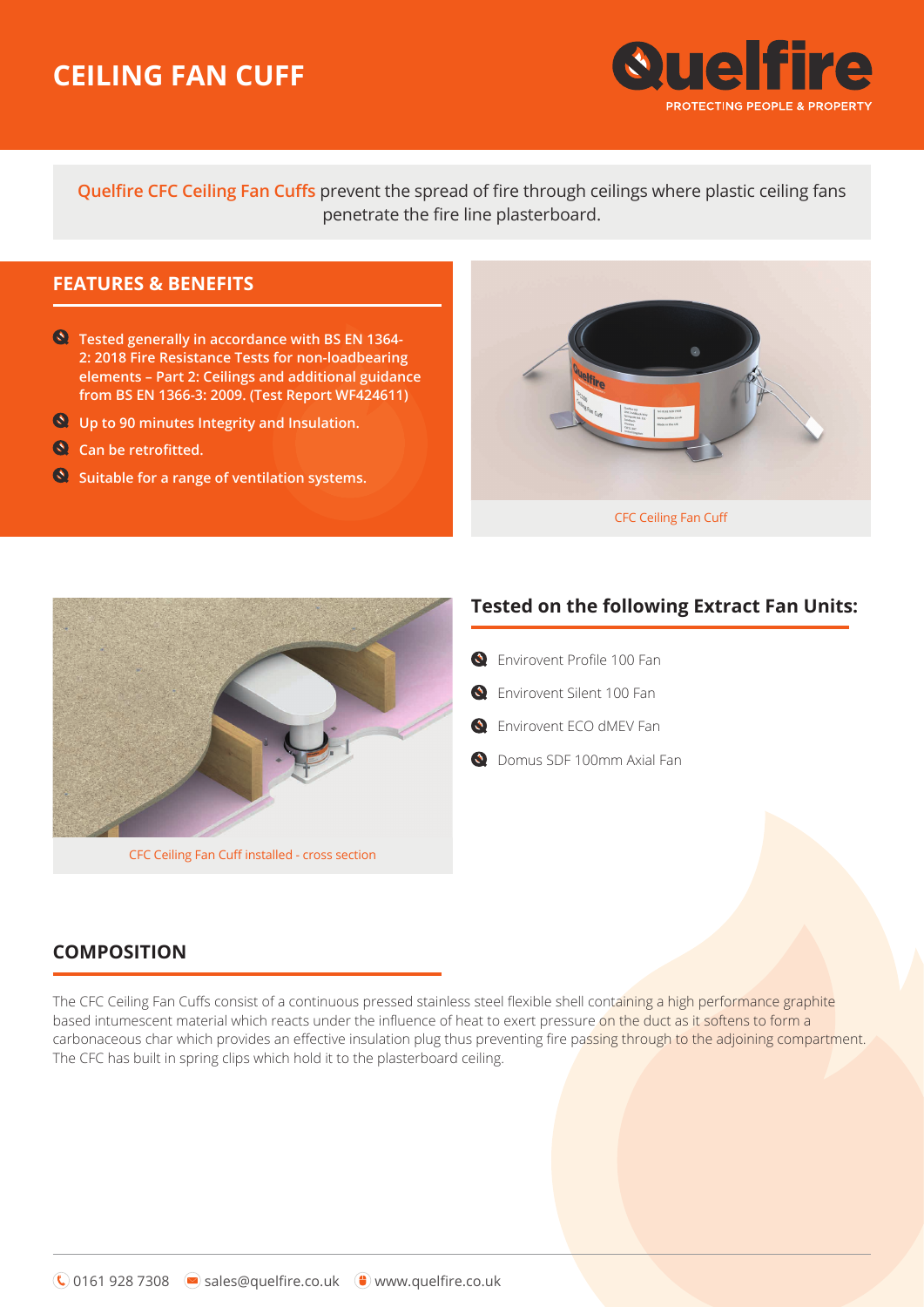# **CEILING FAN CUFF**



**Quelfire CFC Ceiling Fan Cuffs** prevent the spread of fire through ceilings where plastic ceiling fans penetrate the fire line plasterboard.

## **FEATURES & BENEFITS**

- **Tested generally in accordance with BS EN 1364- 2: 2018 Fire Resistance Tests for non-loadbearing elements – Part 2: Ceilings and additional guidance from BS EN 1366-3: 2009. (Test Report WF424611)**
- **Up to 90 minutes Integrity and Insulation.**
- **Can be retrofitted.**
- **Suitable for a range of ventilation systems.**





### **Tested on the following Extract Fan Units:**

- **O** Fnvirovent Profile 100 Fan
- **G** Envirovent Silent 100 Fan
- **Q** Envirovent ECO dMEV Fan
- **Q** Domus SDF 100mm Axial Fan

## **COMPOSITION**

The CFC Ceiling Fan Cuffs consist of a continuous pressed stainless steel flexible shell containing a high performance graphite based intumescent material which reacts under the influence of heat to exert pressure on the duct as it softens to form a carbonaceous char which provides an effective insulation plug thus preventing fire passing through to the adjoining compartment. The CFC has built in spring clips which hold it to the plasterboard ceiling.